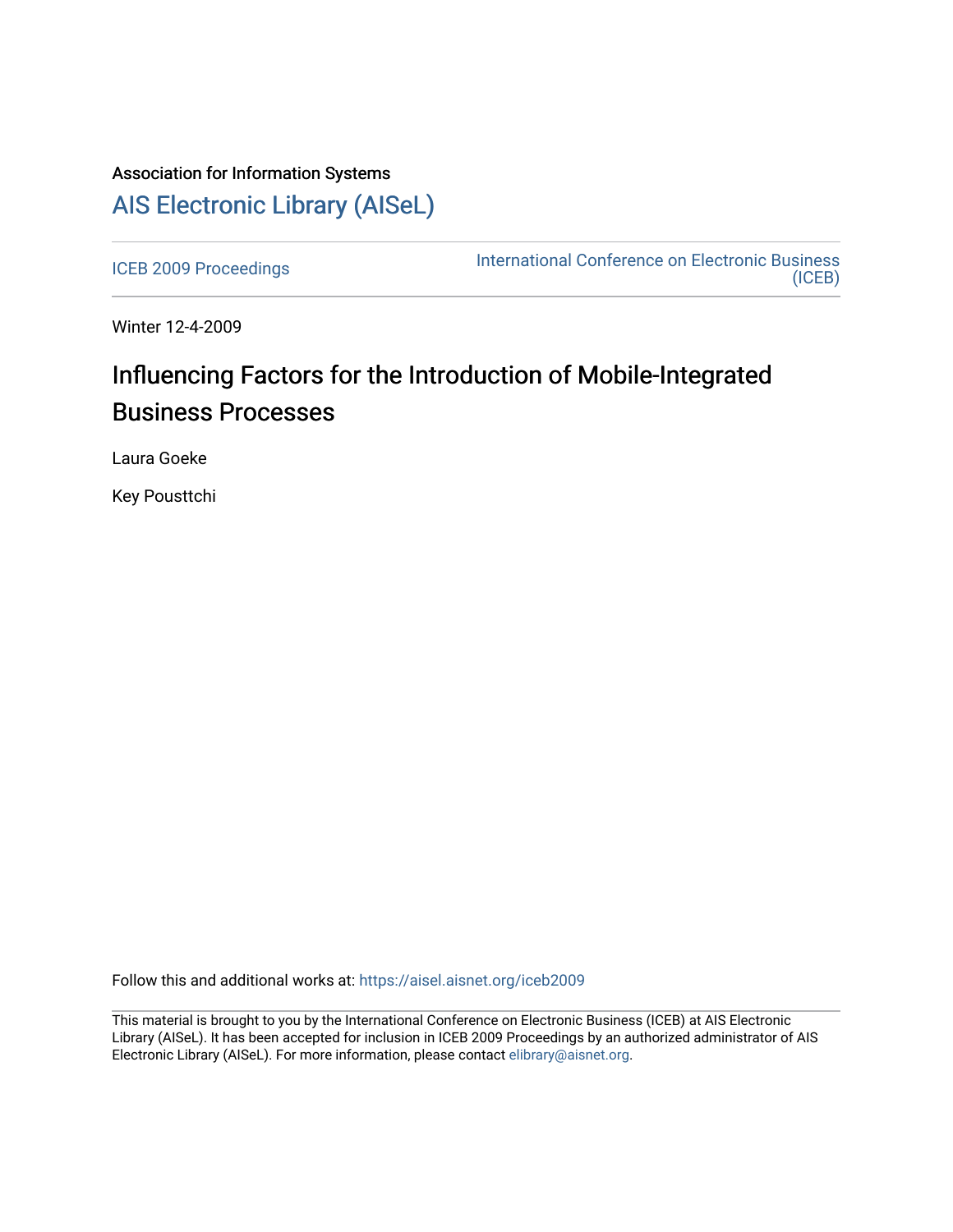## Association for Information Systems [AIS Electronic Library \(AISeL\)](https://aisel.aisnet.org/)

[ICEB 2009 Proceedings](https://aisel.aisnet.org/iceb2009) **International Conference on Electronic Business** [\(ICEB\)](https://aisel.aisnet.org/iceb) 

Winter 12-4-2009

# Influencing Factors for the Introduction of Mobile-Integrated Business Processes

Laura Goeke

Key Pousttchi

Follow this and additional works at: [https://aisel.aisnet.org/iceb2009](https://aisel.aisnet.org/iceb2009?utm_source=aisel.aisnet.org%2Ficeb2009%2F115&utm_medium=PDF&utm_campaign=PDFCoverPages)

This material is brought to you by the International Conference on Electronic Business (ICEB) at AIS Electronic Library (AISeL). It has been accepted for inclusion in ICEB 2009 Proceedings by an authorized administrator of AIS Electronic Library (AISeL). For more information, please contact [elibrary@aisnet.org.](mailto:elibrary@aisnet.org%3E)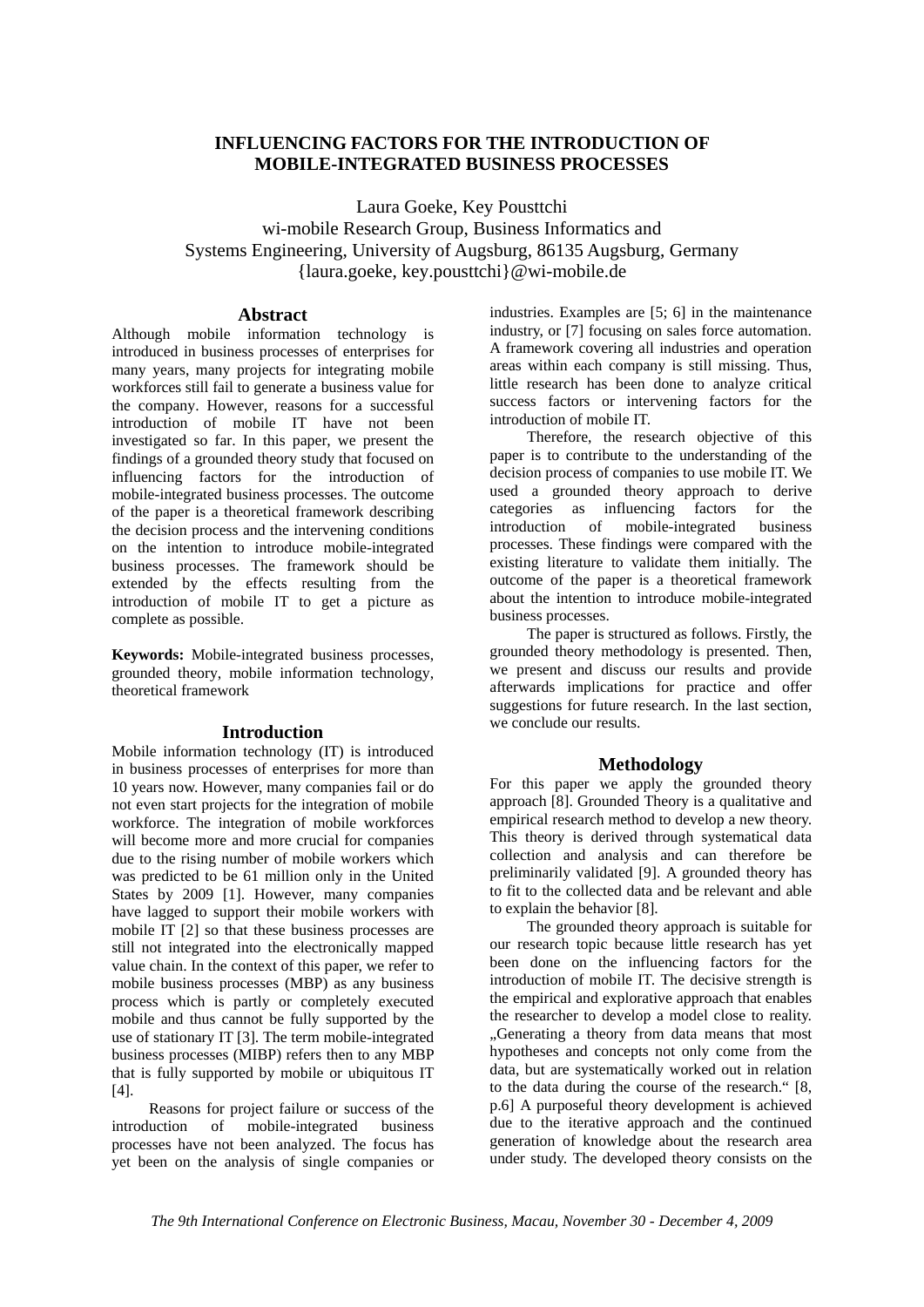## **INFLUENCING FACTORS FOR THE INTRODUCTION OF MOBILE-INTEGRATED BUSINESS PROCESSES**

Laura Goeke, Key Pousttchi wi-mobile Research Group, Business Informatics and Systems Engineering, University of Augsburg, 86135 Augsburg, Germany {laura.goeke, key.pousttchi}@wi-mobile.de

### **Abstract**

Although mobile information technology is introduced in business processes of enterprises for many years, many projects for integrating mobile workforces still fail to generate a business value for the company. However, reasons for a successful introduction of mobile IT have not been investigated so far. In this paper, we present the findings of a grounded theory study that focused on influencing factors for the introduction of mobile-integrated business processes. The outcome of the paper is a theoretical framework describing the decision process and the intervening conditions on the intention to introduce mobile-integrated business processes. The framework should be extended by the effects resulting from the introduction of mobile IT to get a picture as complete as possible.

**Keywords:** Mobile-integrated business processes, grounded theory, mobile information technology, theoretical framework

#### **Introduction**

Mobile information technology (IT) is introduced in business processes of enterprises for more than 10 years now. However, many companies fail or do not even start projects for the integration of mobile workforce. The integration of mobile workforces will become more and more crucial for companies due to the rising number of mobile workers which was predicted to be 61 million only in the United States by 2009 [1]. However, many companies have lagged to support their mobile workers with mobile IT [2] so that these business processes are still not integrated into the electronically mapped value chain. In the context of this paper, we refer to mobile business processes (MBP) as any business process which is partly or completely executed mobile and thus cannot be fully supported by the use of stationary IT [3]. The term mobile-integrated business processes (MIBP) refers then to any MBP that is fully supported by mobile or ubiquitous IT [4].

Reasons for project failure or success of the introduction of mobile-integrated business processes have not been analyzed. The focus has yet been on the analysis of single companies or industries. Examples are [5; 6] in the maintenance industry, or [7] focusing on sales force automation. A framework covering all industries and operation areas within each company is still missing. Thus, little research has been done to analyze critical success factors or intervening factors for the introduction of mobile IT.

Therefore, the research objective of this paper is to contribute to the understanding of the decision process of companies to use mobile IT. We used a grounded theory approach to derive categories as influencing factors for the introduction of mobile-integrated business processes. These findings were compared with the existing literature to validate them initially. The outcome of the paper is a theoretical framework about the intention to introduce mobile-integrated business processes.

The paper is structured as follows. Firstly, the grounded theory methodology is presented. Then, we present and discuss our results and provide afterwards implications for practice and offer suggestions for future research. In the last section, we conclude our results.

## **Methodology**

For this paper we apply the grounded theory approach [8]. Grounded Theory is a qualitative and empirical research method to develop a new theory. This theory is derived through systematical data collection and analysis and can therefore be preliminarily validated [9]. A grounded theory has to fit to the collected data and be relevant and able to explain the behavior [8].

The grounded theory approach is suitable for our research topic because little research has yet been done on the influencing factors for the introduction of mobile IT. The decisive strength is the empirical and explorative approach that enables the researcher to develop a model close to reality. "Generating a theory from data means that most hypotheses and concepts not only come from the data, but are systematically worked out in relation to the data during the course of the research." [8, p.6] A purposeful theory development is achieved due to the iterative approach and the continued generation of knowledge about the research area under study. The developed theory consists on the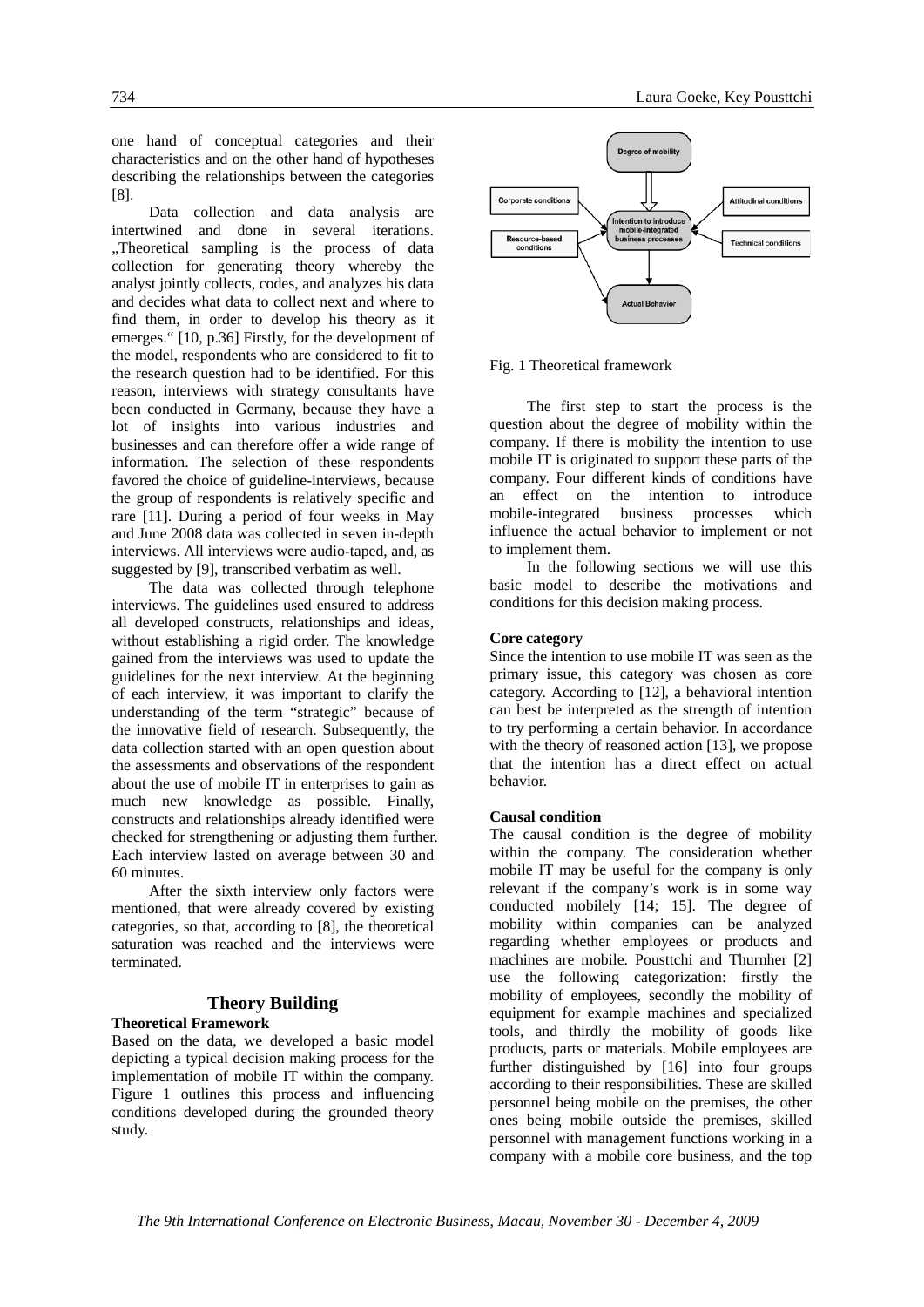one hand of conceptual categories and their characteristics and on the other hand of hypotheses describing the relationships between the categories [8].

Data collection and data analysis are intertwined and done in several iterations. "Theoretical sampling is the process of data collection for generating theory whereby the analyst jointly collects, codes, and analyzes his data and decides what data to collect next and where to find them, in order to develop his theory as it emerges." [10, p.36] Firstly, for the development of the model, respondents who are considered to fit to the research question had to be identified. For this reason, interviews with strategy consultants have been conducted in Germany, because they have a lot of insights into various industries and businesses and can therefore offer a wide range of information. The selection of these respondents favored the choice of guideline-interviews, because the group of respondents is relatively specific and rare [11]. During a period of four weeks in May and June 2008 data was collected in seven in-depth interviews. All interviews were audio-taped, and, as suggested by [9], transcribed verbatim as well.

The data was collected through telephone interviews. The guidelines used ensured to address all developed constructs, relationships and ideas, without establishing a rigid order. The knowledge gained from the interviews was used to update the guidelines for the next interview. At the beginning of each interview, it was important to clarify the understanding of the term "strategic" because of the innovative field of research. Subsequently, the data collection started with an open question about the assessments and observations of the respondent about the use of mobile IT in enterprises to gain as much new knowledge as possible. Finally, constructs and relationships already identified were checked for strengthening or adjusting them further. Each interview lasted on average between 30 and 60 minutes.

After the sixth interview only factors were mentioned, that were already covered by existing categories, so that, according to [8], the theoretical saturation was reached and the interviews were terminated.

#### **Theory Building Theoretical Framework**

Based on the data, we developed a basic model depicting a typical decision making process for the implementation of mobile IT within the company. Figure 1 outlines this process and influencing conditions developed during the grounded theory study.



Fig. 1 Theoretical framework

The first step to start the process is the question about the degree of mobility within the company. If there is mobility the intention to use mobile IT is originated to support these parts of the company. Four different kinds of conditions have an effect on the intention to introduce mobile-integrated business processes which influence the actual behavior to implement or not to implement them.

In the following sections we will use this basic model to describe the motivations and conditions for this decision making process.

#### **Core category**

Since the intention to use mobile IT was seen as the primary issue, this category was chosen as core category. According to [12], a behavioral intention can best be interpreted as the strength of intention to try performing a certain behavior. In accordance with the theory of reasoned action [13], we propose that the intention has a direct effect on actual behavior.

#### **Causal condition**

The causal condition is the degree of mobility within the company. The consideration whether mobile IT may be useful for the company is only relevant if the company's work is in some way conducted mobilely [14; 15]. The degree of mobility within companies can be analyzed regarding whether employees or products and machines are mobile. Pousttchi and Thurnher [2] use the following categorization: firstly the mobility of employees, secondly the mobility of equipment for example machines and specialized tools, and thirdly the mobility of goods like products, parts or materials. Mobile employees are further distinguished by [16] into four groups according to their responsibilities. These are skilled personnel being mobile on the premises, the other ones being mobile outside the premises, skilled personnel with management functions working in a company with a mobile core business, and the top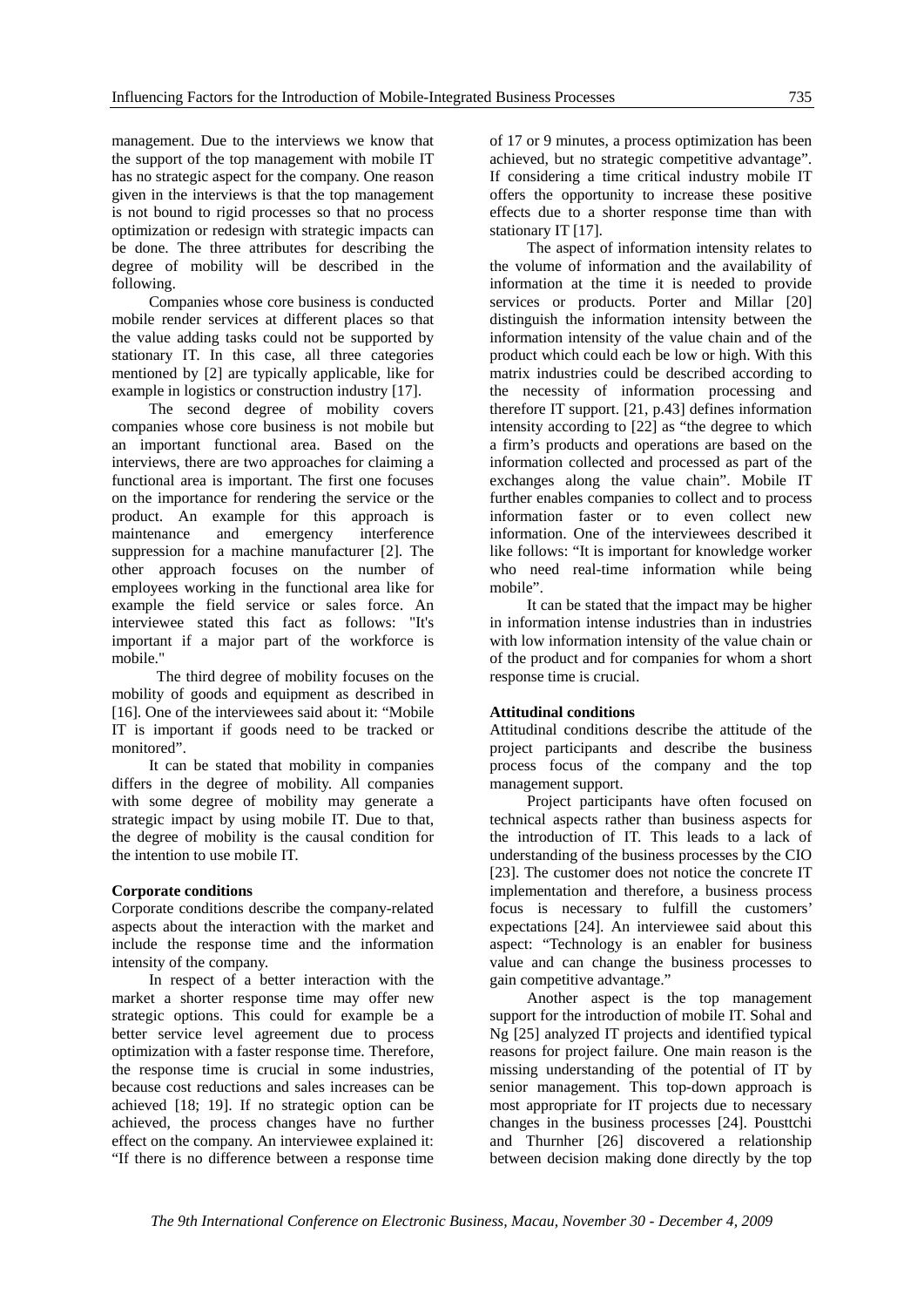management. Due to the interviews we know that the support of the top management with mobile IT has no strategic aspect for the company. One reason given in the interviews is that the top management is not bound to rigid processes so that no process optimization or redesign with strategic impacts can be done. The three attributes for describing the degree of mobility will be described in the following.

Companies whose core business is conducted mobile render services at different places so that the value adding tasks could not be supported by stationary IT. In this case, all three categories mentioned by [2] are typically applicable, like for example in logistics or construction industry [17].

The second degree of mobility covers companies whose core business is not mobile but an important functional area. Based on the interviews, there are two approaches for claiming a functional area is important. The first one focuses on the importance for rendering the service or the product. An example for this approach is maintenance and emergency interference suppression for a machine manufacturer [2]. The other approach focuses on the number of employees working in the functional area like for example the field service or sales force. An interviewee stated this fact as follows: "It's important if a major part of the workforce is mobile."

 The third degree of mobility focuses on the mobility of goods and equipment as described in [16]. One of the interviewees said about it: "Mobile IT is important if goods need to be tracked or monitored".

It can be stated that mobility in companies differs in the degree of mobility. All companies with some degree of mobility may generate a strategic impact by using mobile IT. Due to that, the degree of mobility is the causal condition for the intention to use mobile IT.

#### **Corporate conditions**

Corporate conditions describe the company-related aspects about the interaction with the market and include the response time and the information intensity of the company.

 In respect of a better interaction with the market a shorter response time may offer new strategic options. This could for example be a better service level agreement due to process optimization with a faster response time. Therefore, the response time is crucial in some industries, because cost reductions and sales increases can be achieved [18; 19]. If no strategic option can be achieved, the process changes have no further effect on the company. An interviewee explained it: "If there is no difference between a response time

of 17 or 9 minutes, a process optimization has been achieved, but no strategic competitive advantage". If considering a time critical industry mobile IT offers the opportunity to increase these positive effects due to a shorter response time than with stationary IT [17].

 The aspect of information intensity relates to the volume of information and the availability of information at the time it is needed to provide services or products. Porter and Millar [20] distinguish the information intensity between the information intensity of the value chain and of the product which could each be low or high. With this matrix industries could be described according to the necessity of information processing and therefore IT support. [21, p.43] defines information intensity according to [22] as "the degree to which a firm's products and operations are based on the information collected and processed as part of the exchanges along the value chain". Mobile IT further enables companies to collect and to process information faster or to even collect new information. One of the interviewees described it like follows: "It is important for knowledge worker who need real-time information while being mobile".

It can be stated that the impact may be higher in information intense industries than in industries with low information intensity of the value chain or of the product and for companies for whom a short response time is crucial.

#### **Attitudinal conditions**

Attitudinal conditions describe the attitude of the project participants and describe the business process focus of the company and the top management support.

 Project participants have often focused on technical aspects rather than business aspects for the introduction of IT. This leads to a lack of understanding of the business processes by the CIO [23]. The customer does not notice the concrete IT implementation and therefore, a business process focus is necessary to fulfill the customers' expectations [24]. An interviewee said about this aspect: "Technology is an enabler for business value and can change the business processes to gain competitive advantage."

Another aspect is the top management support for the introduction of mobile IT. Sohal and Ng [25] analyzed IT projects and identified typical reasons for project failure. One main reason is the missing understanding of the potential of IT by senior management. This top-down approach is most appropriate for IT projects due to necessary changes in the business processes [24]. Pousttchi and Thurnher [26] discovered a relationship between decision making done directly by the top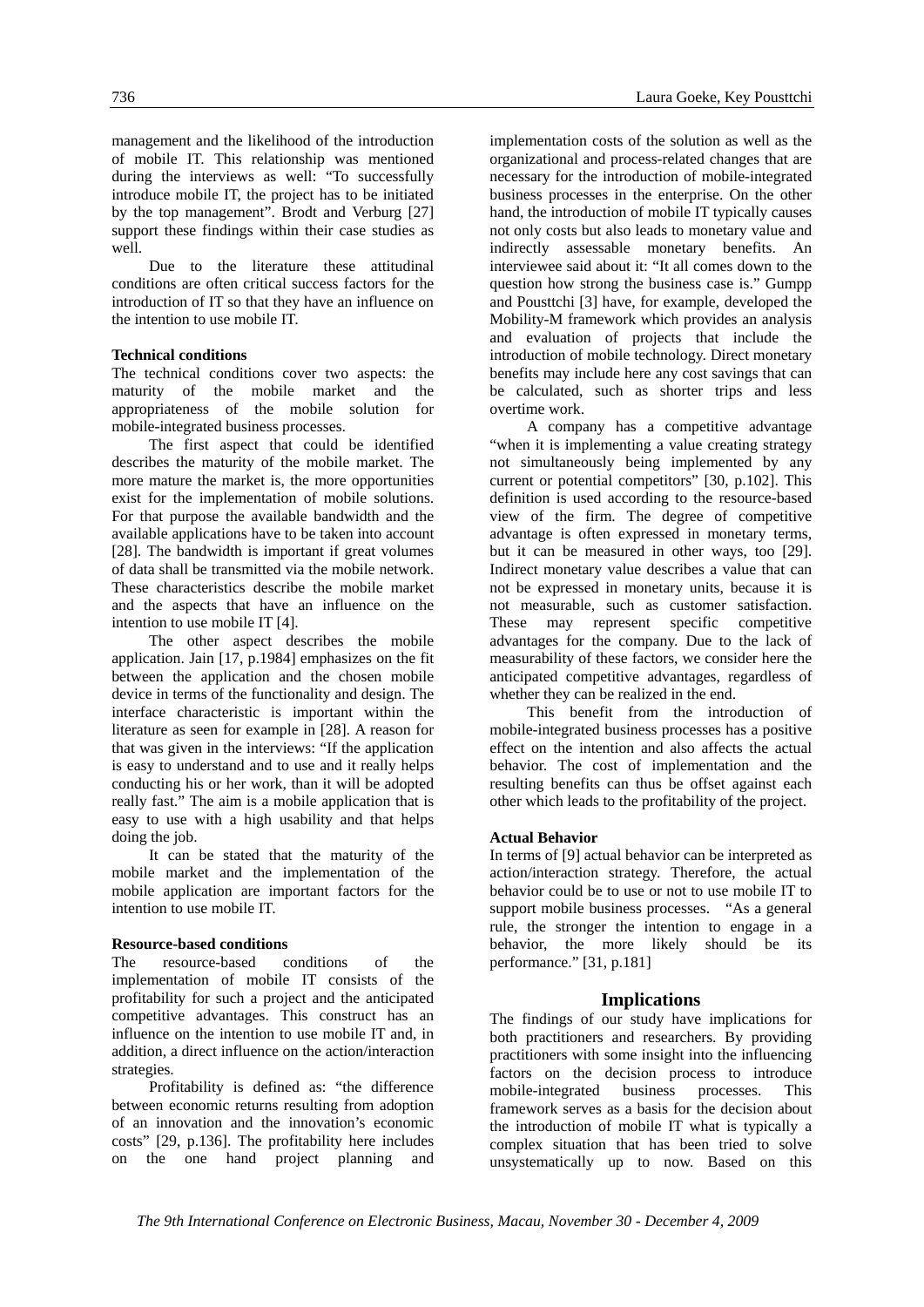management and the likelihood of the introduction of mobile IT. This relationship was mentioned during the interviews as well: "To successfully introduce mobile IT, the project has to be initiated by the top management". Brodt and Verburg [27] support these findings within their case studies as well.

Due to the literature these attitudinal conditions are often critical success factors for the introduction of IT so that they have an influence on the intention to use mobile IT.

#### **Technical conditions**

The technical conditions cover two aspects: the maturity of the mobile market and the appropriateness of the mobile solution for mobile-integrated business processes.

 The first aspect that could be identified describes the maturity of the mobile market. The more mature the market is, the more opportunities exist for the implementation of mobile solutions. For that purpose the available bandwidth and the available applications have to be taken into account [28]. The bandwidth is important if great volumes of data shall be transmitted via the mobile network. These characteristics describe the mobile market and the aspects that have an influence on the intention to use mobile IT [4].

 The other aspect describes the mobile application. Jain [17, p.1984] emphasizes on the fit between the application and the chosen mobile device in terms of the functionality and design. The interface characteristic is important within the literature as seen for example in [28]. A reason for that was given in the interviews: "If the application is easy to understand and to use and it really helps conducting his or her work, than it will be adopted really fast." The aim is a mobile application that is easy to use with a high usability and that helps doing the job.

 It can be stated that the maturity of the mobile market and the implementation of the mobile application are important factors for the intention to use mobile IT.

#### **Resource-based conditions**

The resource-based conditions of the implementation of mobile IT consists of the profitability for such a project and the anticipated competitive advantages. This construct has an influence on the intention to use mobile IT and, in addition, a direct influence on the action/interaction strategies.

Profitability is defined as: "the difference between economic returns resulting from adoption of an innovation and the innovation's economic costs" [29, p.136]. The profitability here includes on the one hand project planning and

implementation costs of the solution as well as the organizational and process-related changes that are necessary for the introduction of mobile-integrated business processes in the enterprise. On the other hand, the introduction of mobile IT typically causes not only costs but also leads to monetary value and indirectly assessable monetary benefits. An interviewee said about it: "It all comes down to the question how strong the business case is." Gumpp and Pousttchi [3] have, for example, developed the Mobility-M framework which provides an analysis and evaluation of projects that include the introduction of mobile technology. Direct monetary benefits may include here any cost savings that can be calculated, such as shorter trips and less overtime work.

A company has a competitive advantage "when it is implementing a value creating strategy not simultaneously being implemented by any current or potential competitors" [30, p.102]. This definition is used according to the resource-based view of the firm. The degree of competitive advantage is often expressed in monetary terms, but it can be measured in other ways, too [29]. Indirect monetary value describes a value that can not be expressed in monetary units, because it is not measurable, such as customer satisfaction. These may represent specific competitive advantages for the company. Due to the lack of measurability of these factors, we consider here the anticipated competitive advantages, regardless of whether they can be realized in the end.

This benefit from the introduction of mobile-integrated business processes has a positive effect on the intention and also affects the actual behavior. The cost of implementation and the resulting benefits can thus be offset against each other which leads to the profitability of the project.

#### **Actual Behavior**

In terms of [9] actual behavior can be interpreted as action/interaction strategy. Therefore, the actual behavior could be to use or not to use mobile IT to support mobile business processes. "As a general rule, the stronger the intention to engage in a behavior, the more likely should be its performance." [31, p.181]

#### **Implications**

The findings of our study have implications for both practitioners and researchers. By providing practitioners with some insight into the influencing factors on the decision process to introduce mobile-integrated business processes. This framework serves as a basis for the decision about the introduction of mobile IT what is typically a complex situation that has been tried to solve unsystematically up to now. Based on this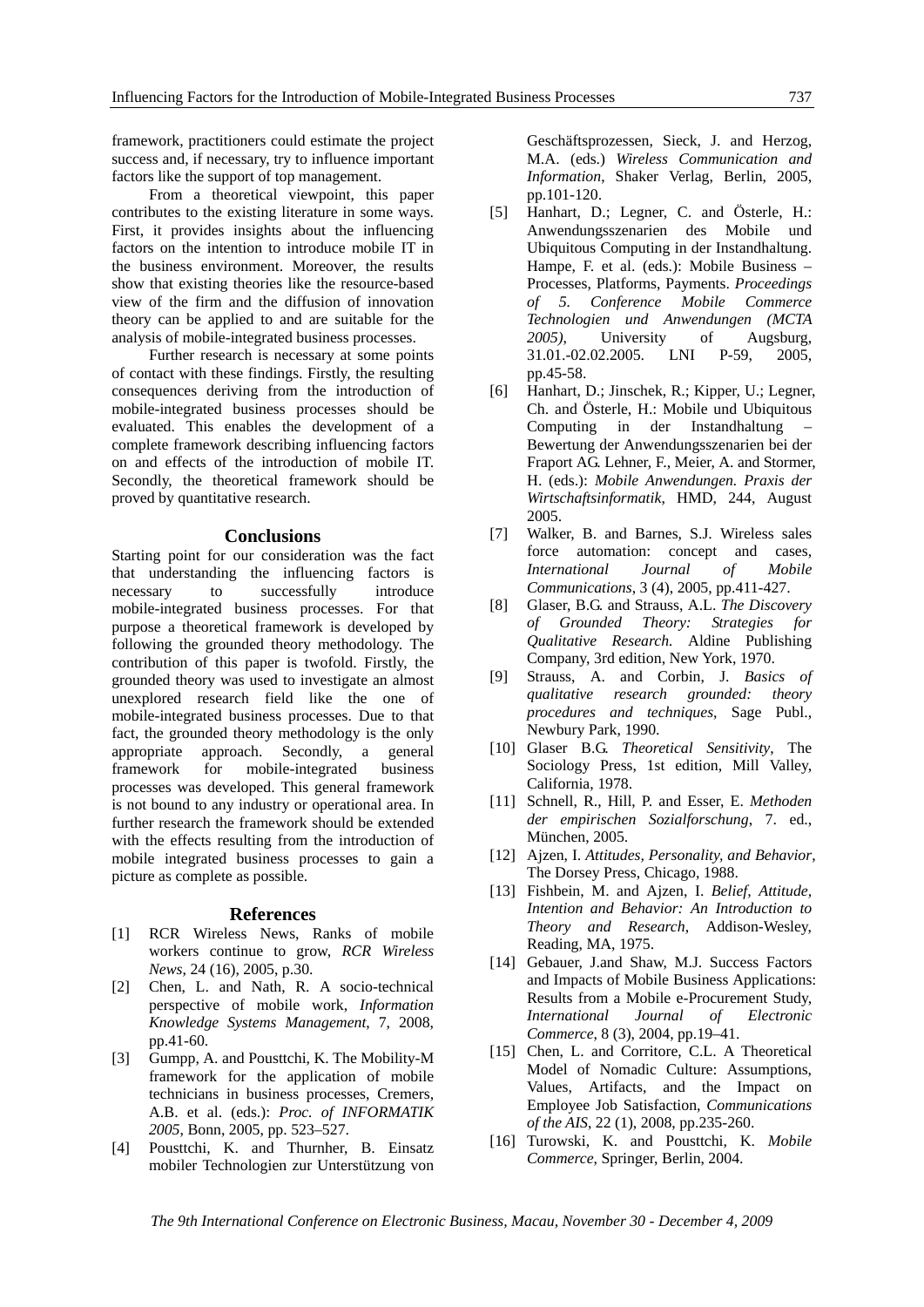framework, practitioners could estimate the project success and, if necessary, try to influence important factors like the support of top management.

 From a theoretical viewpoint, this paper contributes to the existing literature in some ways. First, it provides insights about the influencing factors on the intention to introduce mobile IT in the business environment. Moreover, the results show that existing theories like the resource-based view of the firm and the diffusion of innovation theory can be applied to and are suitable for the analysis of mobile-integrated business processes.

 Further research is necessary at some points of contact with these findings. Firstly, the resulting consequences deriving from the introduction of mobile-integrated business processes should be evaluated. This enables the development of a complete framework describing influencing factors on and effects of the introduction of mobile IT. Secondly, the theoretical framework should be proved by quantitative research.

#### **Conclusions**

Starting point for our consideration was the fact that understanding the influencing factors is necessary to successfully introduce mobile-integrated business processes. For that purpose a theoretical framework is developed by following the grounded theory methodology. The contribution of this paper is twofold. Firstly, the grounded theory was used to investigate an almost unexplored research field like the one of mobile-integrated business processes. Due to that fact, the grounded theory methodology is the only appropriate approach. Secondly, a general framework for mobile-integrated business processes was developed. This general framework is not bound to any industry or operational area. In further research the framework should be extended with the effects resulting from the introduction of mobile integrated business processes to gain a picture as complete as possible.

#### **References**

- [1] RCR Wireless News, Ranks of mobile workers continue to grow, *RCR Wireless News*, 24 (16), 2005, p.30.
- [2] Chen, L. and Nath, R. A socio-technical perspective of mobile work, *Information Knowledge Systems Management*, 7, 2008, pp.41-60.
- [3] Gumpp, A. and Pousttchi, K. The Mobility-M framework for the application of mobile technicians in business processes, Cremers, A.B. et al. (eds.): *Proc. of INFORMATIK 2005*, Bonn, 2005, pp. 523–527.
- [4] Pousttchi, K. and Thurnher, B. Einsatz mobiler Technologien zur Unterstützung von

Geschäftsprozessen, Sieck, J. and Herzog, M.A. (eds.) *Wireless Communication and Information*, Shaker Verlag, Berlin, 2005, pp.101-120.

- [5] Hanhart, D.; Legner, C. and Österle, H.: Anwendungsszenarien des Mobile und Ubiquitous Computing in der Instandhaltung. Hampe, F. et al. (eds.): Mobile Business – Processes, Platforms, Payments. *Proceedings of 5. Conference Mobile Commerce Technologien und Anwendungen (MCTA 2005)*, University of Augsburg, 31.01.-02.02.2005. LNI P-59, 2005, pp.45-58.
- [6] Hanhart, D.; Jinschek, R.; Kipper, U.; Legner, Ch. and Österle, H.: Mobile und Ubiquitous Computing in der Instandhaltung – Bewertung der Anwendungsszenarien bei der Fraport AG. Lehner, F., Meier, A. and Stormer, H. (eds.): *Mobile Anwendungen. Praxis der Wirtschaftsinformatik*, HMD, 244, August 2005.
- [7] Walker, B. and Barnes, S.J. Wireless sales force automation: concept and cases, *International Journal of Mobile Communications*, 3 (4), 2005, pp.411-427.
- [8] Glaser, B.G. and Strauss, A.L. *The Discovery of Grounded Theory: Strategies for Qualitative Research.* Aldine Publishing Company, 3rd edition, New York, 1970.
- [9] Strauss, A. and Corbin, J. *Basics of qualitative research grounded: theory procedures and techniques*, Sage Publ., Newbury Park, 1990.
- [10] Glaser B.G. *Theoretical Sensitivity*, The Sociology Press, 1st edition, Mill Valley, California, 1978.
- [11] Schnell, R., Hill, P. and Esser, E. *Methoden der empirischen Sozialforschung*, 7. ed., München, 2005.
- [12] Ajzen, I. *Attitudes, Personality, and Behavior*, The Dorsey Press, Chicago, 1988.
- [13] Fishbein, M. and Ajzen, I. *Belief, Attitude, Intention and Behavior: An Introduction to Theory and Research*, Addison-Wesley, Reading, MA, 1975.
- [14] Gebauer, J.and Shaw, M.J. Success Factors and Impacts of Mobile Business Applications: Results from a Mobile e-Procurement Study, *International Journal of Electronic Commerce*, 8 (3), 2004, pp.19–41.
- [15] Chen, L. and Corritore, C.L. A Theoretical Model of Nomadic Culture: Assumptions, Values, Artifacts, and the Impact on Employee Job Satisfaction, *Communications of the AIS*, 22 (1), 2008, pp.235-260.
- [16] Turowski, K. and Pousttchi, K. *Mobile Commerce*, Springer, Berlin, 2004.